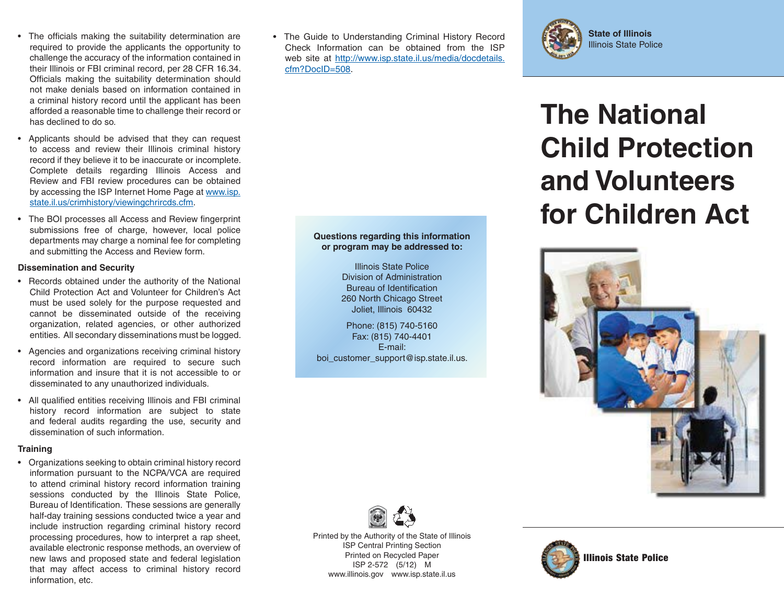- The officials making the suitability determination are required to provide the applicants the opportunity to challenge the accuracy of the information contained in their Illinois or FBI criminal record, per 28 CFR 16.34. Officials making the suitability determination should not make denials based on information contained in a criminal history record until the applicant has been afforded a reasonable time to challenge their record or has declined to do so.
- Applicants should be advised that they can request to access and review their Illinois criminal history record if they believe it to be inaccurate or incomplete. Complete details regarding Illinois Access and Review and FBI review procedures can be obtained by accessing the ISP Internet Home Page at www.isp. state.il.us/crimhistory/viewingchrircds.cfm.
- The BOI processes all Access and Review fingerprint submissions free of charge, however, local police departments may charge a nominal fee for completing and submitting the Access and Review form.

#### **Dissemination and Security**

- Records obtained under the authority of the National Child Protection Act and Volunteer for Children's Act must be used solely for the purpose requested and cannot be disseminated outside of the receiving organization, related agencies, or other authorized entities. All secondary disseminations must be logged.
- Agencies and organizations receiving criminal history record information are required to secure such information and insure that it is not accessible to or disseminated to any unauthorized individuals.
- All qualified entities receiving Illinois and FBI criminal history record information are subject to state and federal audits regarding the use, security and dissemination of such information.

#### **Training**

• Organizations seeking to obtain criminal history record information pursuant to the NCPA/VCA are required to attend criminal history record information training sessions conducted by the Illinois State Police, Bureau of Identification. These sessions are generally half-day training sessions conducted twice a year and include instruction regarding criminal history record processing procedures, how to interpret a rap sheet, available electronic response methods, an overview of new laws and proposed state and federal legislation that may affect access to criminal history record information, etc.

**or The Guide to Understanding Criminal History Record Constant May be a State of Illinois** Check Information can be obtained from the ISPweb site at http://www.isp.state.il.us/media/docdetails. cfm?DocID=508.

> **Questions regarding this information or program may be addressed to:** Illinois State PoliceDivision of AdministrationBureau of Identification 260 North Chicago Street Joliet, Illinois 60432 Phone: (815) 740-5160 Fax: (815) 740-4401 E-mail:boi\_customer\_support@isp.state.il.us.



# **The National Child Protectionand Volunteersfor Children Act**





Printed by the Authority of the State of Illinois ISP Central Printing Section Printed on Recycled Paper ISP 2-572 (5/12) M www.illinois.gov www.isp.state.il.us